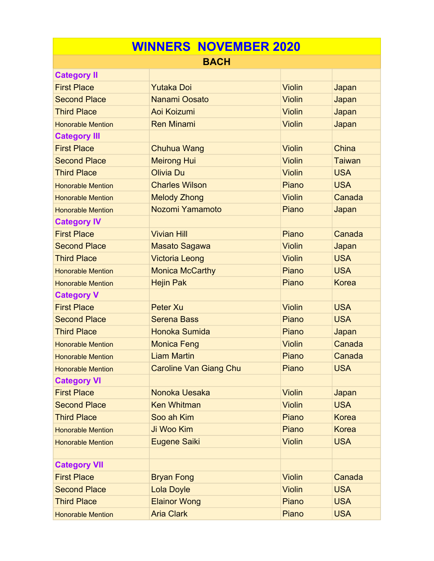| <b>WINNERS NOVEMBER 2020</b> |                               |               |               |  |  |
|------------------------------|-------------------------------|---------------|---------------|--|--|
| <b>BACH</b>                  |                               |               |               |  |  |
| <b>Category II</b>           |                               |               |               |  |  |
| <b>First Place</b>           | <b>Yutaka Doi</b>             | <b>Violin</b> | Japan         |  |  |
| <b>Second Place</b>          | <b>Nanami Oosato</b>          | <b>Violin</b> | Japan         |  |  |
| <b>Third Place</b>           | Aoi Koizumi                   | <b>Violin</b> | Japan         |  |  |
| <b>Honorable Mention</b>     | <b>Ren Minami</b>             | Violin        | Japan         |  |  |
| <b>Category III</b>          |                               |               |               |  |  |
| <b>First Place</b>           | Chuhua Wang                   | <b>Violin</b> | China         |  |  |
| <b>Second Place</b>          | <b>Meirong Hui</b>            | <b>Violin</b> | <b>Taiwan</b> |  |  |
| <b>Third Place</b>           | <b>Olivia Du</b>              | <b>Violin</b> | <b>USA</b>    |  |  |
| <b>Honorable Mention</b>     | <b>Charles Wilson</b>         | Piano         | <b>USA</b>    |  |  |
| <b>Honorable Mention</b>     | <b>Melody Zhong</b>           | <b>Violin</b> | Canada        |  |  |
| <b>Honorable Mention</b>     | Nozomi Yamamoto               | Piano         | Japan         |  |  |
| <b>Category IV</b>           |                               |               |               |  |  |
| <b>First Place</b>           | <b>Vivian Hill</b>            | Piano         | Canada        |  |  |
| <b>Second Place</b>          | Masato Sagawa                 | <b>Violin</b> | Japan         |  |  |
| <b>Third Place</b>           | <b>Victoria Leong</b>         | <b>Violin</b> | <b>USA</b>    |  |  |
| <b>Honorable Mention</b>     | <b>Monica McCarthy</b>        | Piano         | <b>USA</b>    |  |  |
| <b>Honorable Mention</b>     | <b>Hejin Pak</b>              | Piano         | <b>Korea</b>  |  |  |
| <b>Category V</b>            |                               |               |               |  |  |
| <b>First Place</b>           | <b>Peter Xu</b>               | <b>Violin</b> | <b>USA</b>    |  |  |
| <b>Second Place</b>          | <b>Serena Bass</b>            | Piano         | <b>USA</b>    |  |  |
| <b>Third Place</b>           | Honoka Sumida                 | Piano         | Japan         |  |  |
| <b>Honorable Mention</b>     | <b>Monica Feng</b>            | <b>Violin</b> | Canada        |  |  |
| <b>Honorable Mention</b>     | <b>Liam Martin</b>            | Piano         | Canada        |  |  |
| <b>Honorable Mention</b>     | <b>Caroline Van Giang Chu</b> | Piano         | <b>USA</b>    |  |  |
| <b>Category VI</b>           |                               |               |               |  |  |
| <b>First Place</b>           | Nonoka Uesaka                 | <b>Violin</b> | Japan         |  |  |
| <b>Second Place</b>          | <b>Ken Whitman</b>            | <b>Violin</b> | <b>USA</b>    |  |  |
| <b>Third Place</b>           | Soo ah Kim                    | Piano         | <b>Korea</b>  |  |  |
| <b>Honorable Mention</b>     | Ji Woo Kim                    | Piano         | <b>Korea</b>  |  |  |
| <b>Honorable Mention</b>     | Eugene Saiki                  | <b>Violin</b> | <b>USA</b>    |  |  |
|                              |                               |               |               |  |  |
| <b>Category VII</b>          |                               |               |               |  |  |
| <b>First Place</b>           | <b>Bryan Fong</b>             | <b>Violin</b> | Canada        |  |  |
| <b>Second Place</b>          | <b>Lola Doyle</b>             | <b>Violin</b> | <b>USA</b>    |  |  |
| <b>Third Place</b>           | <b>Elainor Wong</b>           | Piano         | <b>USA</b>    |  |  |
| <b>Honorable Mention</b>     | <b>Aria Clark</b>             | Piano         | <b>USA</b>    |  |  |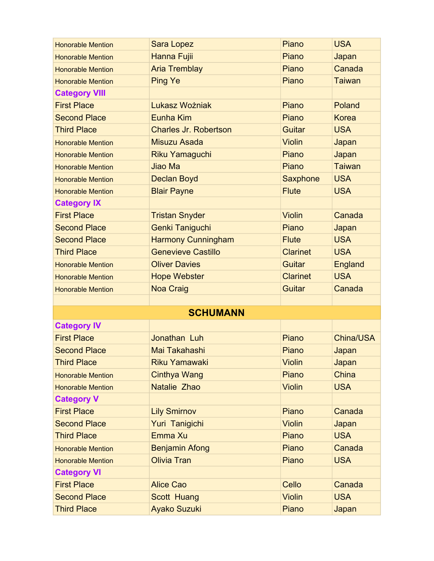| <b>Honorable Mention</b> | <b>Sara Lopez</b>            | Piano           | <b>USA</b>    |
|--------------------------|------------------------------|-----------------|---------------|
| <b>Honorable Mention</b> | Hanna Fujii                  | Piano           | Japan         |
| <b>Honorable Mention</b> | <b>Aria Tremblay</b>         | Piano           | Canada        |
| <b>Honorable Mention</b> | <b>Ping Ye</b>               | Piano           | <b>Taiwan</b> |
| <b>Category VIII</b>     |                              |                 |               |
| <b>First Place</b>       | Lukasz Wożniak               | Piano           | Poland        |
| <b>Second Place</b>      | Eunha Kim                    | Piano           | <b>Korea</b>  |
| <b>Third Place</b>       | <b>Charles Jr. Robertson</b> | <b>Guitar</b>   | <b>USA</b>    |
| <b>Honorable Mention</b> | Misuzu Asada                 | <b>Violin</b>   | Japan         |
| <b>Honorable Mention</b> | Riku Yamaguchi               | Piano           | Japan         |
| <b>Honorable Mention</b> | Jiao Ma                      | Piano           | <b>Taiwan</b> |
| <b>Honorable Mention</b> | <b>Declan Boyd</b>           | Saxphone        | <b>USA</b>    |
| <b>Honorable Mention</b> | <b>Blair Payne</b>           | <b>Flute</b>    | <b>USA</b>    |
| <b>Category IX</b>       |                              |                 |               |
| <b>First Place</b>       | <b>Tristan Snyder</b>        | <b>Violin</b>   | Canada        |
| <b>Second Place</b>      | <b>Genki Taniguchi</b>       | Piano           | Japan         |
| <b>Second Place</b>      | <b>Harmony Cunningham</b>    | <b>Flute</b>    | <b>USA</b>    |
| <b>Third Place</b>       | <b>Genevieve Castillo</b>    | <b>Clarinet</b> | <b>USA</b>    |
| <b>Honorable Mention</b> | <b>Oliver Davies</b>         | Guitar          | England       |
| <b>Honorable Mention</b> | <b>Hope Webster</b>          | <b>Clarinet</b> | <b>USA</b>    |
| <b>Honorable Mention</b> | <b>Noa Craig</b>             | <b>Guitar</b>   | Canada        |
|                          |                              |                 |               |
|                          | <b>SCHUMANN</b>              |                 |               |
| <b>Category IV</b>       |                              |                 |               |
| <b>First Place</b>       | Jonathan Luh                 | Piano           | China/USA     |
| <b>Second Place</b>      | Mai Takahashi                | Piano           | Japan         |
| <b>Third Place</b>       | <b>Riku Yamawaki</b>         | <b>Violin</b>   | Japan         |
| <b>Honorable Mention</b> | <b>Cinthya Wang</b>          | Piano           | China         |
| <b>Honorable Mention</b> | Natalie Zhao                 | <b>Violin</b>   | <b>USA</b>    |
| <b>Category V</b>        |                              |                 |               |
| <b>First Place</b>       | <b>Lily Smirnov</b>          | Piano           | Canada        |
| <b>Second Place</b>      | Yuri Tanigichi               | <b>Violin</b>   | Japan         |
| <b>Third Place</b>       | Emma Xu                      | Piano           | <b>USA</b>    |
| <b>Honorable Mention</b> | <b>Benjamin Afong</b>        | Piano           | Canada        |
| <b>Honorable Mention</b> | <b>Olivia Tran</b>           | Piano           | <b>USA</b>    |
| <b>Category VI</b>       |                              |                 |               |
| <b>First Place</b>       | <b>Alice Cao</b>             | Cello           | Canada        |
| <b>Second Place</b>      | Scott Huang                  | <b>Violin</b>   | <b>USA</b>    |
| <b>Third Place</b>       | <b>Ayako Suzuki</b>          | Piano           | Japan         |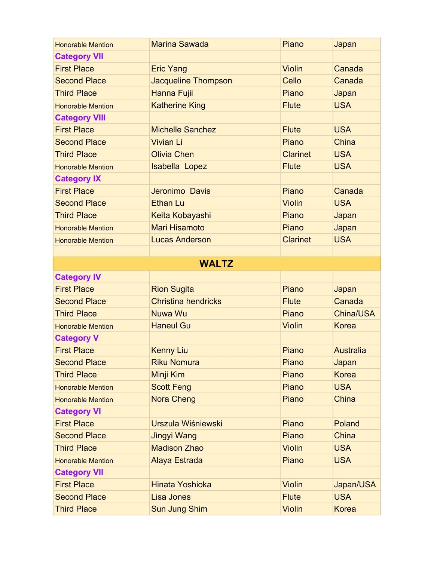| <b>Honorable Mention</b> | <b>Marina Sawada</b>       | Piano           | Japan            |
|--------------------------|----------------------------|-----------------|------------------|
| <b>Category VII</b>      |                            |                 |                  |
| <b>First Place</b>       | <b>Eric Yang</b>           | <b>Violin</b>   | Canada           |
| <b>Second Place</b>      | Jacqueline Thompson        | Cello           | Canada           |
| <b>Third Place</b>       | Hanna Fujii                | Piano           | Japan            |
| <b>Honorable Mention</b> | <b>Katherine King</b>      | <b>Flute</b>    | <b>USA</b>       |
| <b>Category VIII</b>     |                            |                 |                  |
| <b>First Place</b>       | <b>Michelle Sanchez</b>    | <b>Flute</b>    | <b>USA</b>       |
| <b>Second Place</b>      | <b>Vivian Li</b>           | Piano           | China            |
| <b>Third Place</b>       | <b>Olivia Chen</b>         | <b>Clarinet</b> | <b>USA</b>       |
| <b>Honorable Mention</b> | Isabella Lopez             | <b>Flute</b>    | <b>USA</b>       |
| <b>Category IX</b>       |                            |                 |                  |
| <b>First Place</b>       | Jeronimo Davis             | Piano           | Canada           |
| <b>Second Place</b>      | <b>Ethan Lu</b>            | <b>Violin</b>   | <b>USA</b>       |
| <b>Third Place</b>       | Keita Kobayashi            | Piano           | Japan            |
| <b>Honorable Mention</b> | <b>Mari Hisamoto</b>       | Piano           | Japan            |
| <b>Honorable Mention</b> | <b>Lucas Anderson</b>      | <b>Clarinet</b> | <b>USA</b>       |
|                          |                            |                 |                  |
|                          | <b>WALTZ</b>               |                 |                  |
| <b>Category IV</b>       |                            |                 |                  |
| <b>First Place</b>       | <b>Rion Sugita</b>         | Piano           | Japan            |
| <b>Second Place</b>      | <b>Christina hendricks</b> | <b>Flute</b>    | Canada           |
| <b>Third Place</b>       | Nuwa Wu                    | Piano           | China/USA        |
| <b>Honorable Mention</b> | <b>Haneul Gu</b>           | <b>Violin</b>   | <b>Korea</b>     |
| <b>Category V</b>        |                            |                 |                  |
| <b>First Place</b>       | <b>Kenny Liu</b>           | Piano           | <b>Australia</b> |
| <b>Second Place</b>      | <b>Riku Nomura</b>         | Piano           | Japan            |
| <b>Third Place</b>       | Minji Kim                  | Piano           | <b>Korea</b>     |
| <b>Honorable Mention</b> | <b>Scott Feng</b>          | Piano           | <b>USA</b>       |
| <b>Honorable Mention</b> | <b>Nora Cheng</b>          | Piano           | <b>China</b>     |
| <b>Category VI</b>       |                            |                 |                  |
| <b>First Place</b>       | Urszula Wiśniewski         | Piano           | Poland           |
| <b>Second Place</b>      | Jingyi Wang                | Piano           | <b>China</b>     |
| <b>Third Place</b>       | <b>Madison Zhao</b>        | <b>Violin</b>   | <b>USA</b>       |
| <b>Honorable Mention</b> | Alaya Estrada              | Piano           | <b>USA</b>       |
| <b>Category VII</b>      |                            |                 |                  |
|                          |                            |                 |                  |
| <b>First Place</b>       | Hinata Yoshioka            | <b>Violin</b>   | Japan/USA        |
| <b>Second Place</b>      | Lisa Jones                 | <b>Flute</b>    | <b>USA</b>       |